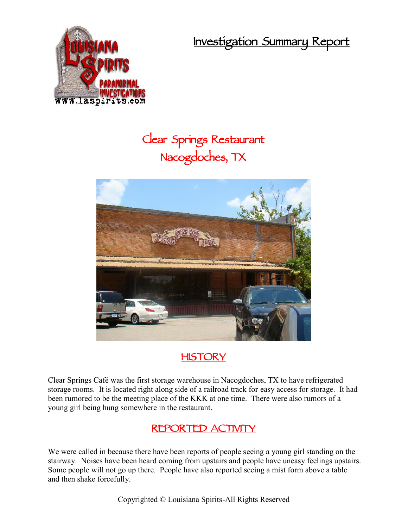**Investigation Summary Report**



# **Clear Springs Restaurant Nacogdoches, TX**



### **HISTORY**

Clear Springs Café was the first storage warehouse in Nacogdoches, TX to have refrigerated storage rooms. It is located right along side of a railroad track for easy access for storage. It had been rumored to be the meeting place of the KKK at one time. There were also rumors of a young girl being hung somewhere in the restaurant.

# **REPORTED ACTIVITY**

We were called in because there have been reports of people seeing a young girl standing on the stairway. Noises have been heard coming from upstairs and people have uneasy feelings upstairs. Some people will not go up there. People have also reported seeing a mist form above a table and then shake forcefully.

Copyrighted © Louisiana Spirits-All Rights Reserved